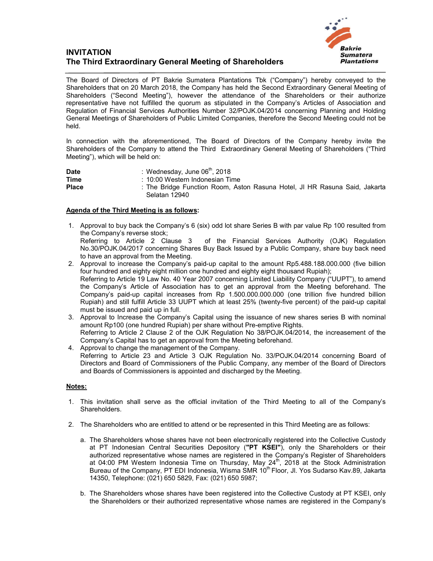## **INVITATION The Third Extraordinary General Meeting of Shareholders**



The Board of Directors of PT Bakrie Sumatera Plantations Tbk ("Company") hereby conveyed to the Shareholders that on 20 March 2018, the Company has held the Second Extraordinary General Meeting of Shareholders ("Second Meeting"), however the attendance of the Shareholders or their authorize representative have not fulfilled the quorum as stipulated in the Company's Articles of Association and Regulation of Financial Services Authorities Number 32/POJK.04/2014 concerning Planning and Holding General Meetings of Shareholders of Public Limited Companies, therefore the Second Meeting could not be held.

In connection with the aforementioned, The Board of Directors of the Company hereby invite the Shareholders of the Company to attend the Third Extraordinary General Meeting of Shareholders ("Third Meeting"), which will be held on:

| <b>Date</b>  | : Wednesday, June 06 <sup>th</sup> , 2018                                                   |
|--------------|---------------------------------------------------------------------------------------------|
| <b>Time</b>  | : 10:00 Western Indonesian Time                                                             |
| <b>Place</b> | : The Bridge Function Room, Aston Rasuna Hotel, JI HR Rasuna Said, Jakarta<br>Selatan 12940 |

## **Agenda of the Third Meeting is as follows:**

- 1. Approval to buy back the Company's 6 (six) odd lot share Series B with par value Rp 100 resulted from the Company's reverse stock;<br>Referring to Article 2 Clause 3 of the Financial Services Authority (OJK) Regulation No.30/POJK.04/2017 concerning Shares Buy Back Issued by a Public Company, share buy back need to have an approval from the Meeting.
- 2. Approval to increase the Company's paid-up capital to the amount Rp5.488.188.000.000 (five billion four hundred and eighty eight million one hundred and eighty eight thousand Rupiah); Referring to Article 19 Law No. 40 Year 2007 concerning Limited Liability Company ("UUPT"), to amend the Company's Article of Association has to get an approval from the Meeting beforehand. The Company's paid-up capital increases from Rp 1.500.000.000.000 (one trillion five hundred billion Rupiah) and still fulfill Article 33 UUPT which at least 25% (twenty-five percent) of the paid-up capital must be issued and paid up in full.
- 3. Approval to Increase the Company's Capital using the issuance of new shares series B with nominal amount Rp100 (one hundred Rupiah) per share without Pre-emptive Rights. Referring to Article 2 Clause 2 of the OJK Regulation No 38/POJK.04/2014, the increasement of the Company's Capital has to get an approval from the Meeting beforehand.
- 4. Approval to change the management of the Company. Referring to Article 23 and Article 3 OJK Regulation No. 33/POJK.04/2014 concerning Board of Directors and Board of Commissioners of the Public Company, any member of the Board of Directors and Boards of Commissioners is appointed and discharged by the Meeting.

## **Notes:**

- 1. This invitation shall serve as the official invitation of the Third Meeting to all of the Company's Shareholders.
- 2. The Shareholders who are entitled to attend or be represented in this Third Meeting are as follows:
	- a. The Shareholders whose shares have not been electronically registered into the Collective Custody at PT Indonesian Central Securities Depository (**"PT KSEI"**), only the Shareholders or their authorized representative whose names are registered in the Company's Register of Shareholders at 04:00 PM Western Indonesia Time on Thursday, May 24<sup>th</sup>, 2018 at the Stock Administration Bureau of the Company, PT EDI Indonesia, Wisma SMR 10<sup>th</sup> Floor, Jl. Yos Sudarso Kav.89, Jakarta 14350, Telephone: (021) 650 5829, Fax: (021) 650 5987;
	- b. The Shareholders whose shares have been registered into the Collective Custody at PT KSEI, only the Shareholders or their authorized representative whose names are registered in the Company's